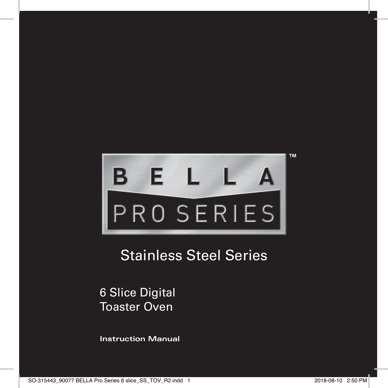

# Stainless Steel Series

6 Slice Digital Toaster Oven

**Instruction Manual**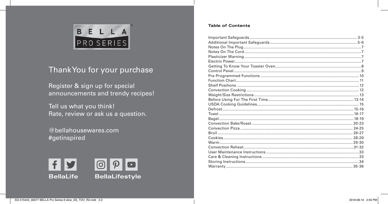

# Thank You for your purchase

Register & sign up for special announcements and trendy recipes!

Tell us what you think! Rate, review or ask us a question.

@bellahousewares.com #getinspired



# **Table of Contents**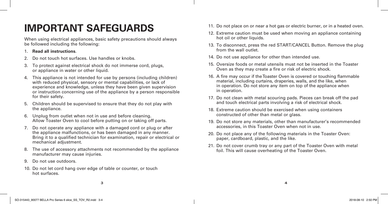# **IMPORTANT SAFEGUARDS**

When using electrical appliances, basic safety precautions should always be followed including the following:

# 1. **Read all instructions**.

- 2. Do not touch hot surfaces. Use handles or knobs.
- 3. To protect against electrical shock do not immerse cord, plugs, or appliance in water or other liquid.
- 4. This appliance is not intended for use by persons (including children) with reduced physical, sensory or mental capabilities, or lack of experience and knowledge, unless they have been given supervision or instruction concerning use of the appliance by a person responsible for their safety.
- 5. Children should be supervised to ensure that they do not play with the appliance.
- 6. Unplug from outlet when not in use and before cleaning. Allow Toaster Oven to cool before putting on or taking off parts.
- 7. Do not operate any appliance with a damaged cord or plug or after the appliance malfunctions, or has been damaged in any manner. Bring it to a qualified technician for examination, repair or electrical or mechanical adjustment.
- 8. The use of accessory attachments not recommended by the appliance manufacturer may cause injuries.
- 9. Do not use outdoors.
- 10. Do not let cord hang over edge of table or counter, or touch hot surfaces.
- 11. Do not place on or near a hot gas or electric burner, or in a heated oven.
- 12. Extreme caution must be used when moving an appliance containing hot oil or other liquids.
- 13. To disconnect, press the red START/CANCEL Button. Remove the plug from the wall outlet.
- 14. Do not use appliance for other than intended use.
- 15. Oversize foods or metal utensils must not be inserted in the Toaster Oven as they may create a fire or risk of electric shock.
- 16. A fire may occur if the Toaster Oven is covered or touching flammable material, including curtains, draperies, walls, and the like, when in operation. Do not store any item on top of the appliance when in operation.
- 17. Do not clean with metal scouring pads. Pieces can break off the pad and touch electrical parts involving a risk of electrical shock.
- 18. Extreme caution should be exercised when using containers constructed of other than metal or glass.
- 19. Do not store any materials, other than manufacturer's recommended accessories, in this Toaster Oven when not in use.
- 20. Do not place any of the following materials in the Toaster Oven: paper, cardboard, plastic, and the like.
- 21. Do not cover crumb tray or any part of the Toaster Oven with metal foil. This will cause overheating of the Toaster Oven.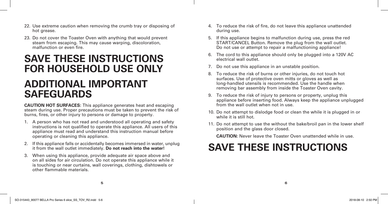- 22. Use extreme caution when removing the crumb tray or disposing of hot grease.
- 23. Do not cover the Toaster Oven with anything that would prevent steam from escaping. This may cause warping, discoloration, malfunction or even fire.

# **SAVE THESE INSTRUCTIONS FOR HOUSEHOLD USE ONLY**

# **ADDITIONAL IMPORTANT SAFEGUARDS**

**CAUTION HOT SURFACES:** This appliance generates heat and escaping steam during use. Proper precautions must be taken to prevent the risk of burns, fires, or other injury to persons or damage to property.

- 1. A person who has not read and understood all operating and safety instructions is not qualified to operate this appliance. All users of this appliance must read and understand this instruction manual before operating or cleaning this appliance.
- 2. If this appliance falls or accidentally becomes immersed in water, unplug it from the wall outlet immediately. **Do not reach into the water!**
- 3. When using this appliance, provide adequate air space above and on all sides for air circulation. Do not operate this appliance while it is touching or near curtains, wall coverings, clothing, dishtowels or other flammable materials.
- 4. To reduce the risk of fire, do not leave this appliance unattended during use.
- 5. If this appliance begins to malfunction during use, press the red START/CANCEL Button. Remove the plug from the wall outlet. Do not use or attempt to repair a malfunctioning appliance!
- 6. The cord to this appliance should only be plugged into a 120V AC electrical wall outlet.
- 7. Do not use this appliance in an unstable position.
- 8. To reduce the risk of burns or other injuries, do not touch hot surfaces. Use of protective oven mitts or gloves as well as long-handled utensils is recommended. Use the handle when removing bar assembly from inside the Toaster Oven cavity.
- 9. To reduce the risk of injury to persons or property, unplug this appliance before inserting food. Always keep the appliance unplugged from the wall outlet when not in use.
- 10. Do not attempt to dislodge food or clean the while it is plugged in or while it is still hot.
- 11. Do not attempt to use the without the bake/broil pan in the lower shelf position and the glass door closed.

**CAUTION:** Never leave the Toaster Oven unattended while in use.

# **SAVE THESE INSTRUCTIONS**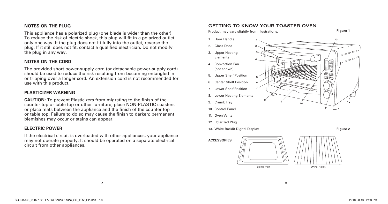# **NOTES ON THE PLUG**

This appliance has a polarized plug (one blade is wider than the other). To reduce the risk of electric shock, this plug will fit in a polarized outlet only one way. If the plug does not fit fully into the outlet, reverse the plug. If it still does not fit, contact a qualified electrician. Do not modify the plug in any way.

# **NOTES ON THE CORD**

The provided short power-supply cord (or detachable power-supply cord) should be used to reduce the risk resulting from becoming entangled in or tripping over a longer cord. An extension cord is not recommended for use with this product.

# **PLASTICIZER WARNING**

**CAUTION:** To prevent Plasticizers from migrating to the finish of the counter top or table top or other furniture, place NON-PLASTIC coasters or place mats between the appliance and the finish of the counter top or table top. Failure to do so may cause the finish to darken; permanent blemishes may occur or stains can appear.

## **ELECTRIC POWER**

If the electrical circuit is overloaded with other appliances, your appliance may not operate properly. It should be operated on a separate electrical circuit from other appliances.

#### **GETTING TO KNOW YOUR TOASTER OVEN**





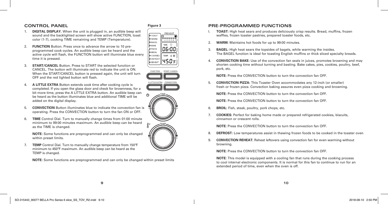# **CONTROL PANEL**

- 1. **DIGITAL DISPLAY.** When the unit is plugged in, an audible beep will sound and the backlighted screen will show active FUNCTION, toast color (1-7), cooking TIME remaining and TEMP (Temperature).
- 2. **FUNCTION** Button. Press once to advance the arrow to 10 preprogrammed cook cycles. An audible beep can be heard and the active cycle will flash, the FUNCTION button will illuminate blue every time it is pressed.
- 3. **START/CANCEL** Button. Press to START the selected function or CANCEL. The button will illuminate red to indicate the unit is ON. When the START/CANCEL button is pressed again, the unit will turn OFF and the red lighted button will flash.
- 4. **A LITTLE EXTRA** Button extends cook time after cooking cycle is completed. If you open the glass door and check for brownness, for a bit more time, press the A LITTLE EXTRA button. An audible beep can be heard as the button illuminates blue and additional TIME will be added on the digital display.
- 5. **CONVECTION** Button illuminates blue to indicate the convection fan is operating. Press the CONVECTION button to turn the fan ON or OFF.
- 6. **TIME** Control Dial. Turn to manually change times from 01:00 minute minimum to 99:00 minutes maximum. An audible beep can be heard as the TIME is changed.

**NOTE:** Some functions are preprogrammed and can only be changed within preset limits.

7. **TEMP** Control Dial. Turn to manually change temperature from 150ºF minimum to 450ºF maximum. An audible beep can be heard as the TEMP is changed.

**NOTE:** Some functions are preprogrammed and can only be changed within preset limits







# **Figure 3 PRE-PROGRAMMED FUNCTIONS**

- I. **TOAST:** High heat sears and produces deliciously crisp results. Bread, muffins, frozen waffles, frozen toaster pastries, prepared toaster foods, etc.
- 2. **WARM:** Maintains hot foods for up to 99:00 minutes.
- 3. **BAGEL:** High heat sears the topsides of bagels, while warming the insides. The BAGEL function is ideal for toasting English muffins or thick sliced specialty breads.
- 4. **CONVECTION BAKE:** Use of the convection fan seals in juices, promotes browning and may shorten cooking time without turning and basting. Bake cakes, pies, cookies, poultry, beef, pork, etc.

**NOTE:** Press the CONVECTION button to turn the convection fan OFF.

5. **CONVECTION PIZZA:** This Toaster Oven accommodates any 12-inch (or smaller) fresh or frozen pizza. Convection baking assures even pizza cooking and browning.

**NOTE:** Press the CONVECTION button to turn the convection fan OFF.

**NOTE:** Press the CONVECTION button to turn the convection fan OFF.

- 6. **BROIL:** Fish, steak, poultry, pork chops, etc.
- 7. **COOKIES:** Perfect for baking home made or prepared refrigerated cookies, biscuits, cinnamon or crescent rolls.

**NOTE:** Press the CONVECTION button to turn the convection fan OFF.

- 8. **DEFROST:** Low temperatures assist in thawing frozen foods to be cooked in the toaster oven
- 9. **CONVECTION REHEAT:** Reheat leftovers using convection fan for even warming without browning.

**NOTE:** Press the CONVECTION button to turn the convection fan OFF.

**NOTE:** This model is equipped with a cooling fan that runs during the cooking process to cool internal electronic components. It is normal for this fan to continue to run for an extended period of time, even when the oven is off.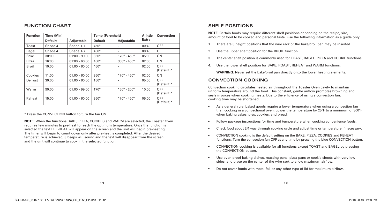#### **FUNCTION CHART**

| <b>Function</b> | Time (Min)     |                 | <b>Temp (Farenheit)</b> |                               | A little | Convection                 |
|-----------------|----------------|-----------------|-------------------------|-------------------------------|----------|----------------------------|
|                 | <b>Default</b> | Adjustable      | <b>Default</b>          | Adjustable                    | Extra    |                            |
| Toast           | Shade 4        | Shade 1-7       | $450^\circ$             |                               | 00:40    | <b>OFF</b>                 |
| Bagel           | Shade 4        | Shade 1-7       | $450^\circ$             |                               | 00:40    | <b>OFF</b>                 |
| <b>Bake</b>     | 30:00          | $01:00 - 99:00$ | $350^\circ$             | $170^{\circ}$ - $450^{\circ}$ | 05:00    | ON                         |
| Pizza           | 16:00          | $01:00 - 60:00$ | $450^\circ$             | $350^{\circ}$ - $450^{\circ}$ | 02:00    | ON                         |
| <b>Broil</b>    | 10:00          | $01:00 - 60:00$ | $450^\circ$             |                               | 02:00    | <b>OFF</b><br>$(Default)*$ |
| Cookies         | 11:00          | $01:00 - 60:00$ | $350^\circ$             | $170^{\circ} - 450^{\circ}$   | 02:00    | ON                         |
| Defrost         | 30:00          | $01:00 - 60:00$ | $150^\circ$             |                               | 05:00    | <b>OFF</b><br>(Default)*   |
| Warm            | 90:00          | $01:00 - 99:00$ | $170^\circ$             | $150^{\circ} - 200^{\circ}$   | 10:00    | <b>OFF</b><br>$(Default)*$ |
| Reheat          | 15:00          | $01:00 - 60:00$ | $350^\circ$             | $170^{\circ} - 450^{\circ}$   | 05:00    | <b>OFF</b><br>$(Default)*$ |

\* Press the CONVECTION button to turn the fan ON

**NOTE:** When the functions BAKE, PIZZA, COOKIES and WARM are selected, the Toaster Oven requires few minutes to pre-heat to reach the optimum temperature. Once the function is selected the text PRE-HEAT will appear on the screen and the unit will begin pre-heating. The timer will begin to count down only after pre-heat is completed. After the desired temperature is achieved, 3 beeps will sound and the text will disappear from the screen and the unit will continue to cook in the selected function.

#### **SHELF POSITIONS**

**NOTE:** Certain foods may require different shelf positions depending on the recipe, size, amount of food to be cooked and personal taste. Use the following information as a guide only.

- 1. There are 3 height positions that the wire rack or the bake/broil pan may be inserted.
- 2. Use the upper shelf position for the BROIL function.
- 3. The center shelf position is commonly used for TOAST, BAGEL, PIZZA and COOKIE functions.
- 4. Use the lower shelf position for BAKE, ROAST, REHEAT and WARM functions.

**WARNING:** Never set the bake/broil pan directly onto the lower heating elements.

# **CONVECTION COOKING**

Convection cooking circulates heated air throughout the Toaster Oven cavity to maintain uniform temperature around the food. This constant, gentle airflow promotes browning and seals in juices when cooking meats. Due to the efficiency of using a convection fan, cooking time may be shortened.

- As a general rule, baked goods require a lower temperature when using a convection fan than cooking in a convectional oven. Lower the temperature by 25°F to a minimum of 300°F when baking cakes, pies, cookies, and bread.
- Follow package instructions for time and temperature when cooking convenience foods.
- Check food about 3/4 way through cooking cycle and adjust time or temperature if necessary.
- CONVECTION cooking is the default setting on the BAKE, PIZZA, COOKIES and REHEAT functions. Turn the convection fan OFF at any time by pressing the blue CONVECTION button.
- CONVECTION cooking is available for all functions except TOAST and BAGEL by pressing the CONVECTION button.
- Use oven-proof baking dishes, roasting pans, pizza pans or cookie sheets with very low sides, and place on the center of the wire rack to allow maximum airflow.
- Do not cover foods with metal foil or any other type of lid for maximum airflow.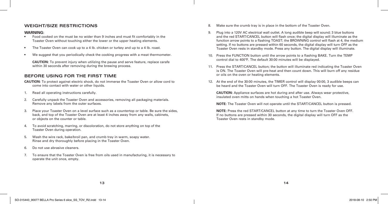#### **WEIGHT/SIZE RESTRICTIONS**

#### **WARNING:**

- Food cooked on the must be no wider than 9 inches and must fit comfortably in the Toaster Oven without touching either the lower or the upper heating elements.
- The Toaster Oven can cook up to a 4 lb. chicken or turkey and up to a 4 lb. roast.
- We suggest that you periodically check the cooking progress with a meat thermometer.

**CAUTION:** To prevent injury when utilizing the pause and serve feature, replace carafe within 30 seconds after removing during the brewing process.

## **BEFORE USING FOR THE FIRST TIME**

**CAUTION:** To protect against electric shock, do not immerse the Toaster Oven or allow cord to come into contact with water or other liquids.

- 1. Read all operating instructions carefully.
- 2. Carefully unpack the Toaster Oven and accessories, removing all packaging materials. Remove any labels from the outer surfaces.
- 3. Place your Toaster Oven on a level surface such as a countertop or table. Be sure the sides, back, and top of the Toaster Oven are at least 4 inches away from any walls, cabinets, or objects on the counter or table.
- 4. To avoid scratching, marring, or discoloration, do not store anything on top of the Toaster Oven during operation.
- 5. Wash the wire rack, bake/broil pan, and crumb tray in warm, soapy water. Rinse and dry thoroughly before placing in the Toaster Oven.
- 6. Do not use abrasive cleaners.
- 7. To ensure that the Toaster Oven is free from oils used in manufacturing, it is necessary to operate the unit once, empty.
- 8. Make sure the crumb tray is in place in the bottom of the Toaster Oven.
- 9. Plug into a 120V AC electrical wall outlet. A long audible beep will sound; 3 blue buttons and the red START/CANCEL button will flash once; the digital display will illuminate as the function arrow points to a flashing TOAST; the BROWNING control will flash at 4, the medium setting. If no buttons are pressed within 60 seconds, the digital display will turn OFF as the Toaster Oven rests in standby mode. Press any button. The digital display will illuminate.
- 10. Press the FUNCTION button until the arrow points to a flashing BAKE. Turn the TEMP control dial to 400ºF. The default 30:00 minutes will be displayed.
- 11. Press the START/CANCEL button; the button will illuminate red indicating the Toaster Oven is ON. The Toaster Oven will pre-heat and then count down. This will burn off any residue or oils on the oven or heating elements.
- 12. At the end of the 30:00 minutes, the TIMER control will display 00:00, 3 audible beeps can be heard and the Toaster Oven will turn OFF. The Toaster Oven is ready for use.

**CAUTION:** Appliance surfaces are hot during and after use. Always wear protective, insulated oven mitts on hands when touching a hot Toaster Oven.

**NOTE:** The Toaster Oven will not operate until the START/CANCEL button is pressed.

**NOTE:** Press the red START/CANCEL button at any time to turn the Toaster Oven OFF. If no buttons are pressed within 30 seconds, the digital display will turn OFF as the Toaster Oven rests in standby mode.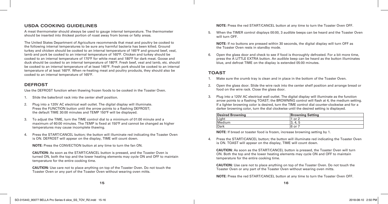# **USDA COOKING GUIDELINES**

A meat thermometer should always be used to gauge internal temperature. The thermometer should be inserted into thickest portion of roast away from bones or fatty areas.

The United States Department of Agriculture recommends that meat and poultry be cooked to the following internal temperatures to be sure any harmful bacteria has been killed. Ground turkey and chicken should be cooked to an internal temperature of 165°F and ground beef, veal, lamb and pork be cooked to an internal temperature of 160°F. Chicken and turkey should be cooked to an internal temperature of 170°F for white meat and 180°F for dark meat. Goose and duck should be cooked to an internal temperature of 180°F. Fresh beef, veal and lamb, etc. should be cooked to an internal temperature of at least 145°F. Fresh pork should be cooked to an internal temperature of at least 160°F. When re-heating meat and poultry products, they should also be cooked to an internal temperature of 165°F.

# **DEFROST**

Use the DEFROST function when thawing frozen foods to be cooked in the Toaster Oven.

- 1. Slide the bake/broil rack into the center shelf position.
- 2. Plug into a 120V AC electrical wall outlet. The digital display will illuminate. Press the FUNCTION button until the arrow points to a flashing DEFROST; the default TIME 30:00 minutes and TEMP 150ºF will be displayed.
- 3. To adjust the TIME, turn the TIME control dial to a minimum of 01:00 minute and a maximum of 60:00 minutes. The TEMP is fixed at 150ºF and cannot be changed as higher temperatures may cause incomplete thawing.
- 4. Press the START/CANCEL button; the button will illuminate red indicating the Toaster Oven is ON. DEFROST will appear on the display, TIME will count down.

**NOTE:** Press the CONVECTION button at any time to turn the fan ON.

**CAUTION:** As soon as the START/CANCEL button is pressed, and the Toaster Oven is turned ON, both the top and the lower heating elements may cycle ON and OFF to maintain temperature for the entire cooking time.

**CAUTION:** Use care not to place anything on top of the Toaster Oven. Do not touch the Toaster Oven or any part of the Toaster Oven without wearing oven mitts.

**NOTE:** Press the red START/CANCEL button at any time to turn the Toaster Oven OFF.

5. When the TIMER control displays 00:00, 3 audible beeps can be heard and the Toaster Oven will turn OFF.

**NOTE:** If no buttons are pressed within 30 seconds, the digital display will turn OFF as the Toaster Oven rests in standby mode.

6. Open the glass door and check to see if food is thoroughly defrosted. For a bit more time, press the A LITTLE EXTRA button. An audible beep can be heard as the button illuminates blue, and defrost TIME on the display is extended 05:00 minutes.

# **TOAST**

- 1. Make sure the crumb tray is clean and in place in the bottom of the Toaster Oven.
- 2. Open the glass door. Slide the wire rack into the center shelf position and arrange bread or food on the wire rack. Close the glass door.
- 3. Plug into a 120V AC electrical wall outlet. The digital display will illuminate as the function arrow points to a flashing TOAST; the BROWNING control will flash at 4, the medium setting. If a lighter browning color is desired, turn the TIME control dial counter-clockwise and for a darker browning color, turn the dial clockwise until the desired setting is displayed.

| Desired Browning | <b>Browning Setting</b> |
|------------------|-------------------------|
| Light            | or                      |
| Medium           | 4. b<br>۰υ.             |
| Dark             | 6 or                    |

**NOTE:** If bread or toaster food is frozen, increase browning setting by 1.

4. Press the START/CANCEL button; the button will illuminate red indicating the Toaster Oven is ON. TOAST will appear on the display, TIME will count down.

**CAUTION:** As soon as the START/CANCEL button is pressed, the Toaster Oven will turn ON. Both the top and the lower heating elements may cycle ON and OFF to maintain temperature for the entire cooking time.

**CAUTION:** Use care not to place anything on top of the Toaster Oven. Do not touch the Toaster Oven or any part of the Toaster Oven without wearing oven mitts.

**NOTE:** Press the red START/CANCEL button at any time to turn the Toaster Oven OFF.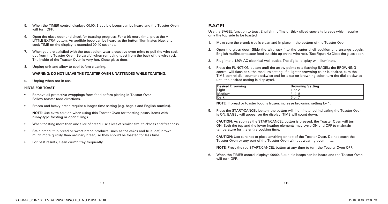- 5. When the TIMER control displays 00:00, 3 audible beeps can be heard and the Toaster Oven will turn OFF.
- 6. Open the glass door and check for toasting progress. For a bit more time, press the A LITTLE EXTRA button. An audible beep can be heard as the button illuminates blue, and cook TIME on the display is extended 00:40 seconds.
- 7. When you are satisfied with the toast color, wear protective oven mitts to pull the wire rack out from the Toaster Oven. Be careful when removing toast from the back of the wire rack. The inside of the Toaster Oven is very hot. Close glass door.
- 8. Unplug unit and allow to cool before cleaning.

#### **WARNING: DO NOT LEAVE THE TOASTER OVEN UNATTENDED WHILE TOASTING.**

9. Unplug when not in use.

#### **HINTS FOR TOAST**

- Remove all protective wrappings from food before placing in Toaster Oven. Follow toaster food directions.
- Frozen and heavy bread require a longer time setting (e.g. bagels and English muffins).

**NOTE:** Use extra caution when using this Toaster Oven for toasting pastry items with runny-type frosting or open fillings.

- When toasting more than one slice of bread, use slices of similar size, thickness and freshness.
- Stale bread, thin bread or sweet bread products, such as tea cakes and fruit loaf, brown much more quickly than ordinary bread, so they should be toasted for less time.
- For best results, clean crumb tray frequently.

# **BAGEL**

Use the BAGEL function to toast English muffins or thick sliced specialty breads which require only the top side to be toasted.

- 1. Make sure the crumb tray is clean and in place in the bottom of the Toaster Oven.
- 2. Open the glass door. Slide the wire rack into the center shelf position and arrange bagels, English muffins or toaster food cut-side-up on the wire rack. (See Figure 4.) Close the glass door.
- 3. Plug into a 120V AC electrical wall outlet. The digital display will illuminate.
- 4. Press the FUNCTION button until the arrow points to a flashing BAGEL; the BROWNING control will flash at 4, the medium setting. If a lighter browning color is desired, turn the TIME control dial counter-clockwise and for a darker browning color, turn the dial clockwise until the desired setting is displayed.

| <b>Desired Browning</b> | <b>Browning Setting</b> |
|-------------------------|-------------------------|
| Light                   | or                      |
| Medium                  | 4.<br>J.                |
| Dark                    | 6 or                    |

**NOTE:** If bread or toaster food is frozen, increase browning setting by 1.

5. Press the START/CANCEL button; the button will illuminate red indicating the Toaster Oven is ON. BAGEL will appear on the display, TIME will count down.

**CAUTION:** As soon as the START/CANCEL button is pressed, the Toaster Oven will turn ON. Both the top and the lower heating elements may cycle ON and OFF to maintain temperature for the entire cooking time.

**CAUTION:** Use care not to place anything on top of the Toaster Oven. Do not touch the Toaster Oven or any part of the Toaster Oven without wearing oven mitts.

**NOTE:** Press the red START/CANCEL button at any time to turn the Toaster Oven OFF.

6. When the TIMER control displays 00:00, 3 audible beeps can be heard and the Toaster Oven will turn OFF.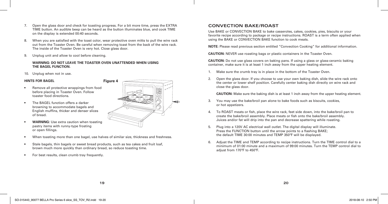- 7. Open the glass door and check for toasting progress. For a bit more time, press the EXTRA TIME button. An audible beep can be heard as the button illuminates blue, and cook TIME on the display is extended 00:40 seconds.
- 8. When you are satisfied with the toast color, wear protective oven mitts to pull the wire rack out from the Toaster Oven. Be careful when removing toast from the back of the wire rack. The inside of the Toaster Oven is very hot. Close glass door.
- 9. Unplug unit and allow to cool before cleaning.

#### **WARNING: DO NOT LEAVE THE TOASTER OVEN UNATTENDED WHEN USING THE BAGEL FUNCTION.**

10. Unplug when not in use.

#### **HINTS FOR BAGEL**

- Remove all protective wrappings from food before placing in Toaster Oven. Follow toaster food directions.
- The BAGEL function offers a darker browning to accommodate bagels and English muffins, thicker and denser slices of bread.



- **WARNING:** Use extra caution when toasting pastry items with runny-type frosting or open fillings.
- When toasting more than one bagel, use halves of similar size, thickness and freshness.
- Stale bagels, thin bagels or sweet bread products, such as tea cakes and fruit loaf, brown much more quickly than ordinary bread, so reduce toasting time.
- For best results, clean crumb tray frequently.

# **CONVECTION BAKE/ROAST**

Use BAKE or CONVECTION BAKE to bake casseroles, cakes, cookies, pies, biscuits or your favorite recipe according to package or recipe instructions. ROAST is a term often applied when using the BAKE or CONVECTION BAKE function to cook meats.

**NOTE:** Please read previous section entitled "Convection Cooking" for additional information.

**CAUTION:** NEVER use roasting bags or plastic containers in the Toaster Oven.

**CAUTION:** Do not use glass covers on baking pans. If using a glass or glass-ceramic baking container, make sure it is at least 1 inch away from the upper heating element.

- 1. Make sure the crumb tray is in place in the bottom of the Toaster Oven.
- 2. Open the glass door. If you choose to use your own baking dish, slide the wire rack onto the center or lower shelf position. Carefully center baking dish directly on wire rack and close the glass door.

**CAUTION:** Make sure the baking dish is at least 1 inch away from the upper heating element.

- 3. You may use the bake/broil pan alone to bake foods such as biscuits, cookies, or hot appetizers.
- 4. To ROAST meats or fish, place the wire rack, feet side down, into the bake/broil pan to create the bake/broil assembly. Place meats or fish onto the bake/broil assembly. Juices and/or fat will drip into the pan and decrease spattering while roasting.
- 5. Plug into a 120V AC electrical wall outlet. The digital display will illuminate. Press the FUNCTION button until the arrow points to a flashing BAKE; the default TIME 30:00 minutes and TEMP 350ºF will be displayed.
- 6. Adjust the TIME and TEMP according to recipe instructions. Turn the TIME control dial to a minimum of 01:00 minute and a maximum of 99:00 minutes. Turn the TEMP control dial to adjust from 170ºF to 450ºF.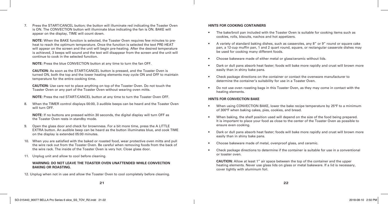7. Press the START/CANCEL button; the button will illuminate red indicating the Toaster Oven is ON. The CONVECTION button will illuminate blue indicating the fan is ON. BAKE will appear on the display, TIME will count down.

**NOTE:** When the BAKE function is selected, the Toaster Oven requires few minutes to preheat to reach the optimum temperature. Once the function is selected the text PRE-HEAT will appear on the screen and the unit will begin pre-heating. After the desired temperature is achieved, 3 beeps will sound and the text will disappear from the screen and the unit will continue to cook in the selected function.

**NOTE:** Press the blue CONVECTION button at any time to turn the fan OFF.

**CAUTION:** As soon as the START/CANCEL button is pressed, and the Toaster Oven is turned ON, both the top and the lower heating elements may cycle ON and OFF to maintain temperature for the entire cooking time.

**CAUTION:** Use care not to place anything on top of the Toaster Oven. Do not touch the Toaster Oven or any part of the Toaster Oven without wearing oven mitts.

**NOTE:** Press the red START/CANCEL button at any time to turn the Toaster Oven OFF.

8. When the TIMER control displays 00:00, 3 audible beeps can be heard and the Toaster Oven will turn OFF.

**NOTE:** If no buttons are pressed within 30 seconds, the digital display will turn OFF as the Toaster Oven rests in standby mode.

- 9. Open the glass door and check for brownness. For a bit more time, press the A LITTLE EXTRA button. An audible beep can be heard as the button illuminates blue, and cook TIME on the display is extended 05:00 minutes.
- 10. When you are satisfied with the baked or roasted food, wear protective oven mitts and pull the wire rack out from the Toaster Oven. Be careful when removing foods from the back of the wire rack. The inside of the Toaster Oven is very hot. Close glass door.
- 11. Unplug unit and allow to cool before cleaning.

#### **WARNING: DO NOT LEAVE THE TOASTER OVEN UNATTENDED WHILE CONVECTION BAKING OR ROASTING.**

12. Unplug when not in use and allow the Toaster Oven to cool completely before cleaning.

#### **HINTS FOR COOKING CONTAINERS**

- The bake/broil pan included with the Toaster Oven is suitable for cooking items such as cookies, rolls, biscuits, nachos and hot appetizers.
- A variety of standard baking dishes, such as casseroles, any 8" or 9" round or square cake pan, a 12-cup muffin pan, 1 and 2 quart round, square, or rectangular casserole dishes may be used for cooking many different foods.
- Choose bakeware made of either metal or glass/ceramic without lids.
- Dark or dull pans absorb heat faster; foods will bake more rapidly and crust will brown more easily than in shiny bake pans.
- Check package directions on the container or contact the ovenware manufacturer to determine the container's suitability for use in a Toaster Oven.
- Do not use oven roasting bags in this Toaster Oven, as they may come in contact with the heating elements.

#### **HINTS FOR CONVECTION BAKE**

- When using CONVECTION BAKE, lower the bake recipe temperature by 25°F to a minimum of 300°F when baking cakes, pies, cookies, and bread.
- When baking, the shelf position used will depend on the size of the food being prepared. It is important to place your food as close to the center of the Toaster Oven as possible to ensure even cooking.
- Dark or dull pans absorb heat faster; foods will bake more rapidly and crust will brown more easily than in shiny bake pans.
- Choose bakeware made of metal, ovenproof glass, and ceramic.
- Check package directions to determine if the container is suitable for use in a conventional or toaster oven.

**CAUTION:** Allow at least 1" air space between the top of the container and the upper heating elements. Never use glass lids on glass or metal bakeware. If a lid is necessary, cover tightly with aluminum foil.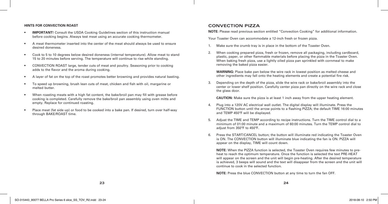#### **HINTS FOR CONVECTION ROAST**

- **IMPORTANT!** Consult the USDA Cooking Guidelines section of this instruction manual before cooking begins. Always test meat using an accurate cooking thermometer.
- A meat thermometer inserted into the center of the meat should always be used to ensure desired doneness.
- Cook to 5 to 10 degrees below desired doneness (internal temperature). Allow meat to stand 15 to 20 minutes before serving. The temperature will continue to rise while standing.
- CONVECTION ROAST large, tender cuts of meat and poultry. Seasoning prior to cooking adds to the flavor and the aroma during cooking.
- A layer of fat on the top of the roast promotes better browning and provides natural basting.
- To speed up browning, brush lean cuts of meat, chicken and fish with oil, margarine or melted butter
- When roasting meats with a high fat content, the bake/broil pan may fill with grease before cooking is completed. Carefully remove the bake/broil pan assembly using oven mitts and empty. Replace for continued roasting.
- Place meat (fat side up) or food to be cooked into a bake pan. If desired, turn over half-way through BAKE/ROAST time.

#### **CONVECTION PIZZA**

**NOTE:** Please read previous section entitled "Convection Cooking" for additional information.

Your Toaster Oven can accommodate a 12-inch fresh or frozen pizza.

- 1. Make sure the crumb tray is in place in the bottom of the Toaster Oven.
- 2. When cooking prepared pizza, fresh or frozen, remove all packaging, including cardboard, plastic, paper, or other flammable materials before placing the pizza in the Toaster Oven. When baking fresh pizza, use a lightly oiled pizza pan sprinkled with cornmeal to make removing the baked pizza easier.

**WARNING:** Place bake pan below the wire rack in lowest position as melted cheese and other ingredients may fall onto the heating elements and create a potential fire risk.

3. Depending on the depth of the pizza, slide the wire rack or bake/broil assembly into the center or lower shelf position. Carefully center pizza pan directly on the wire rack and close the glass door.

**CAUTION:** Make sure the pizza is at least 1 inch away from the upper heating element.

- 4. Plug into a 120V AC electrical wall outlet. The digital display will illuminate. Press the FUNCTION button until the arrow points to a flashing PIZZA; the default TIME 16:00 minutes and TEMP 450ºF will be displayed.
- 5. Adjust the TIME and TEMP according to recipe instructions. Turn the TIME control dial to a minimum of 01:00 minute and a maximum of 60:00 minutes. Turn the TEMP control dial to adjust from 350ºF to 450ºF.
- 6. Press the START/CANCEL button; the button will illuminate red indicating the Toaster Oven is ON. The CONVECTION button will illuminate blue indicating the fan is ON. PIZZA will appear on the display, TIME will count down.

**NOTE:** When the PIZZA function is selected, the Toaster Oven requires few minutes to preheat to reach the optimum temperature. Once the function is selected the text PRE-HEAT will appear on the screen and the unit will begin pre-heating. After the desired temperature is achieved, 3 beeps will sound and the text will disappear from the screen and the unit will continue to cook in the selected function.

**NOTE:** Press the blue CONVECTION button at any time to turn the fan OFF.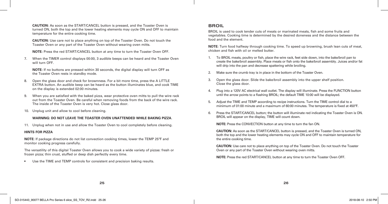**CAUTION:** As soon as the START/CANCEL button is pressed, and the Toaster Oven is turned ON, both the top and the lower heating elements may cycle ON and OFF to maintain temperature for the entire cooking time.

**CAUTION:** Use care not to place anything on top of the Toaster Oven. Do not touch the Toaster Oven or any part of the Toaster Oven without wearing oven mitts.

**NOTE:** Press the red START/CANCEL button at any time to turn the Toaster Oven OFF.

7. When the TIMER control displays 00:00, 3 audible beeps can be heard and the Toaster Oven will turn OFF.

**NOTE:** If no buttons are pressed within 30 seconds, the digital display will turn OFF as the Toaster Oven rests in standby mode.

- 8. Open the glass door and check for brownness. For a bit more time, press the A LITTLE EXTRA button. An audible beep can be heard as the button illuminates blue, and cook TIME on the display is extended 02:00 minutes.
- 9. When you are satisfied with the baked pizza, wear protective oven mitts to pull the wire rack out from the Toaster Oven. Be careful when removing foods from the back of the wire rack. The inside of the Toaster Oven is very hot. Close glass door.
- 10. Unplug unit and allow to cool before cleaning.

#### **WARNING: DO NOT LEAVE THE TOASTER OVEN UNATTENDED WHILE BAKING PIZZA**.

11. Unplug when not in use and allow the Toaster Oven to cool completely before cleaning.

#### **HINTS FOR PIZZA**

**NOTE:** If package directions do not list convection cooking times, lower the TEMP 25ºF and monitor cooking progress carefully.

The versatility of this digital Toaster Oven allows you to cook a wide variety of pizzas: fresh or frozen pizza; thin crust, stuffed or deep dish perfectly every time.

• Use the TIME and TEMP controls for consistent and precision baking results.

# **BROIL**

BROIL is used to cook tender cuts of meats or marinated meats, fish and some fruits and vegetables. Cooking time is determined by the desired doneness and the distance between the food and the element.

**NOTE:** Turn food halfway through cooking time. To speed up browning, brush lean cuts of meat, chicken and fish with oil or melted butter.

- 1. To BROIL meats, poultry or fish, place the wire rack, feet side down, into the bake/broil pan to create the bake/broil assembly. Place meats or fish onto the bake/broil assembly. Juices and/or fat will drip into the pan and decrease spattering while broiling.
- 2. Make sure the crumb tray is in place in the bottom of the Toaster Oven.
- 3. Open the glass door. Slide the bake/broil assembly into the upper shelf position. Close the glass door.
- 4. Plug into a 120V AC electrical wall outlet. The display will illuminate. Press the FUNCTION button until the arrow points to a flashing BROIL; the default TIME 10:00 will be displayed.
- 5. Adjust the TIME and TEMP according to recipe instructions. Turn the TIME control dial to a minimum of 01:00 minute and a maximum of 60:00 minutes. The temperature is fixed at 450ºF.
- 6. Press the START/CANCEL button; the button will illuminate red indicating the Toaster Oven is ON. BROIL will appear on the display, TIME will count down.

**NOTE:** Press the CONVECTION button at any time to turn the fan ON.

**CAUTION:** As soon as the START/CANCEL button is pressed, and the Toaster Oven is turned ON, both the top and the lower heating elements may cycle ON and OFF to maintain temperature for the entire cooking time.

**CAUTION:** Use care not to place anything on top of the Toaster Oven. Do not touch the Toaster Oven or any part of the Toaster Oven without wearing oven mitts.

**NOTE:** Press the red START/CANCEL button at any time to turn the Toaster Oven OFF.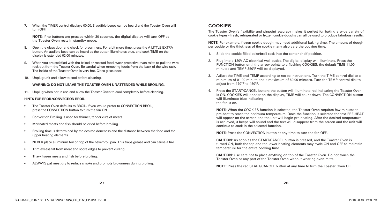7. When the TIMER control displays 00:00, 3 audible beeps can be heard and the Toaster Oven will turn OFF.

**NOTE:** If no buttons are pressed within 30 seconds, the digital display will turn OFF as the Toaster Oven rests in standby mode.

- 8. Open the glass door and check for brownness. For a bit more time, press the A LITTLE EXTRA button. An audible beep can be heard as the button illuminates blue, and cook TIME on the display is extended 02:00 minutes.
- 9. When you are satisfied with the baked or roasted food, wear protective oven mitts to pull the wire rack out from the Toaster Oven. Be careful when removing foods from the back of the wire rack. The inside of the Toaster Oven is very hot. Close glass door.
- 10. Unplug unit and allow to cool before cleaning.

#### **WARNING: DO NOT LEAVE THE TOASTER OVEN UNATTENDED WHILE BROILING.**

11. Unplug when not in use and allow the Toaster Oven to cool completely before cleaning.

#### **HINTS FOR BROIL/CONVECTION BROIL**

- The Toaster Oven defaults to BROIL. If you would prefer to CONVECTION BROIL, press the CONVECTION button to turn the fan ON.
- Convection Broiling is used for thinner, tender cuts of meats.
- Marinated meats and fish should be dried before broiling.
- Broiling time is determined by the desired doneness and the distance between the food and the upper heating elements.
- NEVER place aluminum foil on top of the bake/broil pan. This traps grease and can cause a fire.
- Trim excess fat from meat and score edges to prevent curling.
- Thaw frozen meats and fish before broiling.
- ALWAYS pat meat dry to reduce smoke and promote brownness during broiling.

### **COOKIES**

The Toaster Oven's flexibility and pinpoint accuracy makes it perfect for baking a wide variety of cookie types - fresh, refrigerated or frozen cookie doughs can all be used to produce fabulous results.

**NOTE:** For example, frozen cookie dough may need additional baking time. The amount of dough per cookie or the thickness of the cookie many also vary the cooking time.

- 1. Slide the cookie-filled bake/broil rack into the center shelf position.
- 2. Plug into a 120V AC electrical wall outlet. The digital display will illuminate. Press the FUNCTION button until the arrow points to a flashing COOKIES; the default TIME 11:00 minutes and TEMP 350ºF will be displayed.
- 3. Adjust the TIME and TEMP according to recipe instructions. Turn the TIME control dial to a minimum of 01:00 minute and a maximum of 60:00 minutes. Turn the TEMP control dial to adjust from 170ºF to 450ºF.
- 4. Press the START/CANCEL button; the button will illuminate red indicating the Toaster Oven is ON. COOKIES will appear on the display, TIME will count down. The CONVECTION button will illuminate blue indicating the fan is on.

**NOTE:** When the COOKIES function is selected, the Toaster Oven requires few minutes to pre-heat to reach the optimum temperature. Once the function is selected the text PRE-HEAT will appear on the screen and the unit will begin pre-heating. After the desired temperature is achieved, 3 beeps will sound and the text will disappear from the screen and the unit will continue to cook in the selected function.

**NOTE:** Press the CONVECTION button at any time to turn the fan OFF.

**CAUTION:** As soon as the START/CANCEL button is pressed, and the Toaster Oven is turned ON, both the top and the lower heating elements may cycle ON and OFF to maintain temperature for the entire cooking time.

**CAUTION:** Use care not to place anything on top of the Toaster Oven. Do not touch the Toaster Oven or any part of the Toaster Oven without wearing oven mitts.

**NOTE:** Press the red START/CANCEL button at any time to turn the Toaster Oven OFF.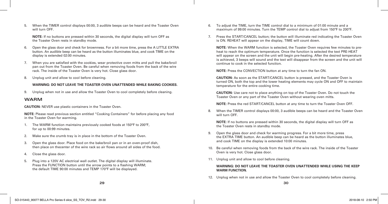5. When the TIMER control displays 00:00, 3 audible beeps can be heard and the Toaster Oven will turn OFF.

**NOTE:** If no buttons are pressed within 30 seconds, the digital display will turn OFF as the Toaster Oven rests in standby mode.

- 6. Open the glass door and check for brownness. For a bit more time, press the A LITTLE EXTRA button. An audible beep can be heard as the button illuminates blue, and cook TIME on the display is extended 02:00 minutes.
- 7. When you are satisfied with the cookies, wear protective oven mitts and pull the bake/broil pan out from the Toaster Oven. Be careful when removing foods from the back of the wire rack. The inside of the Toaster Oven is very hot. Close glass door.
- 8. Unplug unit and allow to cool before cleaning.

#### **WARNING: DO NOT LEAVE THE TOASTER OVEN UNATTENDED WHILE BAKING COOKIES.**

9. Unplug when not in use and allow the Toaster Oven to cool completely before cleaning.

#### **WARM**

**CAUTION:** NEVER use plastic containers in the Toaster Oven.

**NOTE:** Please read previous section entitled "Cooking Containers" for before placing any food in the Toaster Oven for warming.

- 1. The WARM function maintains previously cooked foods at 150°F to 200ºF, for up to 00:99 minutes.
- 2. Make sure the crumb tray is in place in the bottom of the Toaster Oven.
- 3. Open the glass door. Place food on the bake/broil pan or in an oven-proof dish, then place on thecenter of the wire rack so air flows around all sides of the food.
- 4. Close the glass door.
- 5. Plug into a 120V AC electrical wall outlet. The digital display will illuminate. Press the FUNCTION button until the arrow points to a flashing WARM; the default TIME 90:00 minutes and TEMP 170ºF will be displayed.
- 6. To adjust the TIME, turn the TIME control dial to a minimum of 01:00 minute and a maximum of 99:00 minutes. Turn the TEMP control dial to adjust from 150ºF to 200ºF.
- 7. Press the START/CANCEL button; the button will illuminate red indicating the Toaster Oven is ON. REHEAT will appear on the display, TIME will count down.

**NOTE:** When the WARM function is selected, the Toaster Oven requires few minutes to preheat to reach the optimum temperature. Once the function is selected the text PRE-HEAT will appear on the screen and the unit will begin pre-heating. After the desired temperature is achieved, 3 beeps will sound and the text will disappear from the screen and the unit will continue to cook in the selected function.

**NOTE:** Press the CONVECTION button at any time to turn the fan ON.

**CAUTION:** As soon as the START/CANCEL button is pressed, and the Toaster Oven is turned ON, both the top and the lower heating elements may cycle ON and OFF to maintain temperature for the entire cooking time.

**CAUTION:** Use care not to place anything on top of the Toaster Oven. Do not touch the Toaster Oven or any part of the Toaster Oven without wearing oven mitts.

**NOTE:** Press the red START/CANCEL button at any time to turn the Toaster Oven OFF.

8. When the TIMER control displays 00:00, 3 audible beeps can be heard and the Toaster Oven will turn OFF.

**NOTE:** If no buttons are pressed within 30 seconds, the digital display will turn OFF as the Toaster Oven rests in standby mode.

- 9. Open the glass door and check for warming progress. For a bit more time, press the EXTRA TIME button. An audible beep can be heard as the button illuminates blue, and cook TIME on the display is extended 10:00 minutes.
- 10. Be careful when removing foods from the back of the wire rack. The inside of the Toaster Oven is very hot. Close glass door.
- 11. Unplug unit and allow to cool before cleaning.

#### **WARNING: DO NOT LEAVE THE TOASTER OVEN UNATTENDED WHILE USING THE KEEP WARM FUNCTION.**

12. Unplug when not in use and allow the Toaster Oven to cool completely before cleaning.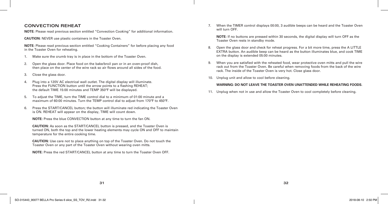# **CONVECTION REHEAT**

**NOTE:** Please read previous section entitled "Convection Cooking" for additional information.

**CAUTION:** NEVER use plastic containers in the Toaster Oven.

**NOTE:** Please read previous section entitled "Cooking Containers" for before placing any food in the Toaster Oven for reheating.

- 1. Make sure the crumb tray is in place in the bottom of the Toaster Oven.
- 2. Open the glass door. Place food on the bake/broil pan or in an oven-proof dish, then place on the center of the wire rack so air flows around all sides of the food.
- 3. Close the glass door.
- 4. Plug into a 120V AC electrical wall outlet. The digital display will illuminate. Press the FUNCTION button until the arrow points to a flashing REHEAT; the default TIME 15:00 minutes and TEMP 350ºF will be displayed.
- 5. To adjust the TIME, turn the TIME control dial to a minimum of 01:00 minute and a maximum of 60:00 minutes. Turn the TEMP control dial to adjust from 170ºF to 450ºF.
- 6. Press the START/CANCEL button; the button will illuminate red indicating the Toaster Oven is ON. REHEAT will appear on the display, TIME will count down.

**NOTE:** Press the blue CONVECTION button at any time to turn the fan ON.

**CAUTION:** As soon as the START/CANCEL button is pressed, and the Toaster Oven is turned ON, both the top and the lower heating elements may cycle ON and OFF to maintain temperature for the entire cooking time.

**CAUTION:** Use care not to place anything on top of the Toaster Oven. Do not touch the Toaster Oven or any part of the Toaster Oven without wearing oven mitts.

**NOTE:** Press the red START/CANCEL button at any time to turn the Toaster Oven OFF.

7. When the TIMER control displays 00:00, 3 audible beeps can be heard and the Toaster Oven will turn OFF.

**NOTE:** If no buttons are pressed within 30 seconds, the digital display will turn OFF as the Toaster Oven rests in standby mode.

- 8. Open the glass door and check for reheat progress. For a bit more time, press the A LITTLE EXTRA button. An audible beep can be heard as the button illuminates blue, and cook TIME on the display is extended 05:00 minutes.
- 9. When you are satisfied with the reheated food, wear protective oven mitts and pull the wire rack out from the Toaster Oven. Be careful when removing foods from the back of the wire rack. The inside of the Toaster Oven is very hot. Close glass door.
- 10. Unplug unit and allow to cool before cleaning.

#### **WARNING: DO NOT LEAVE THE TOASTER OVEN UNATTENDED WHILE REHEATING FOODS.**

11. Unplug when not in use and allow the Toaster Oven to cool completely before cleaning.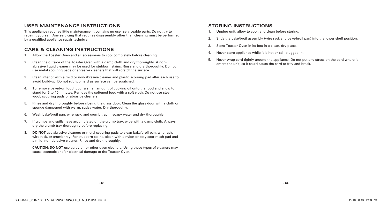### **USER MAINTENANCE INSTRUCTIONS**

This appliance requires little maintenance. It contains no user serviceable parts. Do not try to repair it yourself. Any servicing that requires disassembly other than cleaning must be performed by a qualified appliance repair technician.

# **CARE & CLEANING INSTRUCTIONS**

- 1. Allow the Toaster Oven and all accessories to cool completely before cleaning.
- 2. Clean the outside of the Toaster Oven with a damp cloth and dry thoroughly. A nonabrasive liquid cleaner may be used for stubborn stains. Rinse and dry thoroughly. Do not use metal scouring pads or abrasive cleaners that will scratch the surface.
- 3. Clean interior with a mild or non-abrasive cleaner and plastic scouring pad after each use to avoid build-up. Do not rub too hard as surface can be scratched.
- 4. To remove baked-on food, pour a small amount of cooking oil onto the food and allow to stand for 5 to 10 minutes. Remove the softened food with a soft cloth. Do not use steel wool, scouring pads or abrasive cleaners.
- 5. Rinse and dry thoroughly before closing the glass door. Clean the glass door with a cloth or sponge dampened with warm, sudsy water. Dry thoroughly.
- 6. Wash bake/broil pan, wire rack, and crumb tray in soapy water and dry thoroughly.
- 7. If crumbs and spills have accumulated on the crumb tray, wipe with a damp cloth. Always dry the crumb tray thoroughly before replacing.
- 8. **DO NOT** use abrasive cleaners or metal scouring pads to clean bake/broil pan, wire rack, wire rack, or crumb tray. For stubborn stains, clean with a nylon or polyester mesh pad and a mild, non-abrasive cleaner. Rinse and dry thoroughly.

**CAUTION: DO NOT** use spray-on or other oven cleaners. Using these types of cleaners may cause cosmetic and/or electrical damage to the Toaster Oven.

# **STORING INSTRUCTIONS**

- 1. Unplug unit, allow to cool, and clean before storing.
- 2. Slide the bake/broil assembly (wire rack and bake/broil pan) into the lower shelf position.
- 3. Store Toaster Oven in its box in a clean, dry place.
- 4. Never store appliance while it is hot or still plugged in.
- 5. Never wrap cord tightly around the appliance. Do not put any stress on the cord where it enters the unit, as it could cause the cord to fray and break.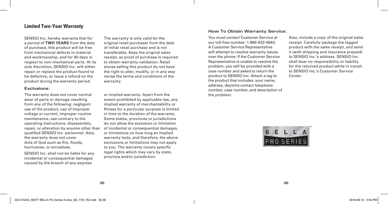# **Limited Two-Year Warranty**

SENSIO Inc. hereby warrants that for a period of **TWO YEARS** from the date of purchase, this product will be free from mechanical defects in material and workmanship, and for 90 days in respect to non-mechanical parts. At its sole discretion, SENSIO Inc. will either repair or replace the product found to be defective, or issue a refund on the product during the warranty period.

#### **Exclusions:**

The warranty does not cover normal wear of parts or damage resulting from any of the following: negligent use of the product, use of improper voltage or current, improper routine maintenance, use contrary to the operating instructions, disassembly, repair, or alteration by anyone other than qualified SENSIO Inc. personnel. Also, the warranty does not cover Acts of God such as fire, floods, hurricanes, or tornadoes.

SENSIO Inc. shall not be liable for any incidental or consequential damages caused by the breach of any express

The warranty is only valid for the original retail purchaser from the date of initial retail purchase and is not transferable. Keep the original sales receipt, as proof of purchase is required to obtain warranty validation. Retail stores selling this product do not have the right to alter, modify, or in any way revise the terms and conditions of the warranty.

or implied warranty. Apart from the extent prohibited by applicable law, any implied warranty of merchantability or fitness for a particular purpose is limited in time to the duration of the warranty. Some states, provinces or jurisdictions do not allow the exclusion or limitation of incidental or consequential damages, or limitations on how long an implied warranty lasts, and therefore, the above exclusions or limitations may not apply to you. The warranty covers specific legal rights which may vary by state, province and/or jurisdiction.

#### **How To Obtain Warranty Service:**

You must contact Customer Service at our toll-free number: 1-866-832-4843. A Customer Service Representative will attempt to resolve warranty issues over the phone. If the Customer Service Representative is unable to resolve the problem, you will be provided with a case number and asked to return the product to SENSIO Inc. Attach a tag to the product that includes: your name, address, daytime contact telephone number, case number, and description of the problem.

Also, include a copy of the original sales receipt. Carefully package the tagged product with the sales receipt, and send it (with shipping and insurance prepaid) to SENSIO Inc.'s address. SENSIO Inc. shall bear no responsibility or liability for the returned product while in transit to SENSIO Inc.'s Customer Service Center.